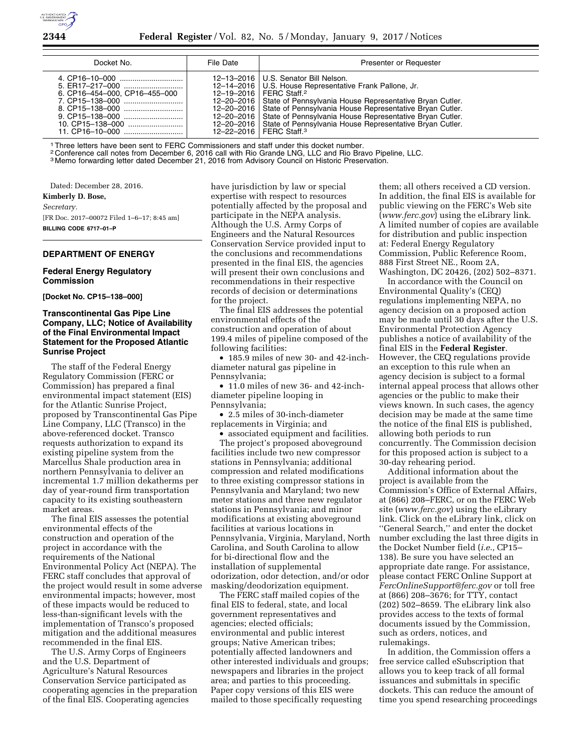

| Docket No.                    | File Date | Presenter or Requester                                                                                                                                                                                                                                                                                                                                                                                                                                                                    |
|-------------------------------|-----------|-------------------------------------------------------------------------------------------------------------------------------------------------------------------------------------------------------------------------------------------------------------------------------------------------------------------------------------------------------------------------------------------------------------------------------------------------------------------------------------------|
| 6. CP16-454-000, CP16-455-000 |           | 12-13-2016   U.S. Senator Bill Nelson.<br>12-14-2016   U.S. House Representative Frank Pallone, Jr.<br>12-19-2016   FERC Staff. <sup>2</sup><br>12-20-2016   State of Pennsylvania House Representative Bryan Cutler.<br>12-20-2016   State of Pennsylvania House Representative Bryan Cutler.<br>12-20-2016   State of Pennsylvania House Representative Bryan Cutler.<br>12-20-2016   State of Pennsylvania House Representative Bryan Cutler.<br>12-22-2016   FERC Staff. <sup>3</sup> |

1Three letters have been sent to FERC Commissioners and staff under this docket number.

2 Conference call notes from December 6, 2016 call with Rio Grande LNG, LLC and Rio Bravo Pipeline, LLC.

3 Memo forwarding letter dated December 21, 2016 from Advisory Council on Historic Preservation.

Dated: December 28, 2016. **Kimberly D. Bose,** 

# *Secretary.*

[FR Doc. 2017–00072 Filed 1–6–17; 8:45 am] **BILLING CODE 6717–01–P** 

## **DEPARTMENT OF ENERGY**

#### **Federal Energy Regulatory Commission**

**[Docket No. CP15–138–000]** 

## **Transcontinental Gas Pipe Line Company, LLC; Notice of Availability of the Final Environmental Impact Statement for the Proposed Atlantic Sunrise Project**

The staff of the Federal Energy Regulatory Commission (FERC or Commission) has prepared a final environmental impact statement (EIS) for the Atlantic Sunrise Project, proposed by Transcontinental Gas Pipe Line Company, LLC (Transco) in the above-referenced docket. Transco requests authorization to expand its existing pipeline system from the Marcellus Shale production area in northern Pennsylvania to deliver an incremental 1.7 million dekatherms per day of year-round firm transportation capacity to its existing southeastern market areas.

The final EIS assesses the potential environmental effects of the construction and operation of the project in accordance with the requirements of the National Environmental Policy Act (NEPA). The FERC staff concludes that approval of the project would result in some adverse environmental impacts; however, most of these impacts would be reduced to less-than-significant levels with the implementation of Transco's proposed mitigation and the additional measures recommended in the final EIS.

The U.S. Army Corps of Engineers and the U.S. Department of Agriculture's Natural Resources Conservation Service participated as cooperating agencies in the preparation of the final EIS. Cooperating agencies

have jurisdiction by law or special expertise with respect to resources potentially affected by the proposal and participate in the NEPA analysis. Although the U.S. Army Corps of Engineers and the Natural Resources Conservation Service provided input to the conclusions and recommendations presented in the final EIS, the agencies will present their own conclusions and recommendations in their respective records of decision or determinations for the project.

The final EIS addresses the potential environmental effects of the construction and operation of about 199.4 miles of pipeline composed of the following facilities:

• 185.9 miles of new 30- and 42-inchdiameter natural gas pipeline in Pennsylvania;

• 11.0 miles of new 36- and 42-inchdiameter pipeline looping in Pennsylvania;

• 2.5 miles of 30-inch-diameter replacements in Virginia; and

• associated equipment and facilities. The project's proposed aboveground facilities include two new compressor stations in Pennsylvania; additional compression and related modifications to three existing compressor stations in Pennsylvania and Maryland; two new meter stations and three new regulator stations in Pennsylvania; and minor modifications at existing aboveground facilities at various locations in Pennsylvania, Virginia, Maryland, North Carolina, and South Carolina to allow for bi-directional flow and the installation of supplemental odorization, odor detection, and/or odor masking/deodorization equipment.

The FERC staff mailed copies of the final EIS to federal, state, and local government representatives and agencies; elected officials; environmental and public interest groups; Native American tribes; potentially affected landowners and other interested individuals and groups; newspapers and libraries in the project area; and parties to this proceeding. Paper copy versions of this EIS were mailed to those specifically requesting

them; all others received a CD version. In addition, the final EIS is available for public viewing on the FERC's Web site (*[www.ferc.gov](http://www.ferc.gov)*) using the eLibrary link. A limited number of copies are available for distribution and public inspection at: Federal Energy Regulatory Commission, Public Reference Room, 888 First Street NE., Room 2A, Washington, DC 20426, (202) 502–8371.

In accordance with the Council on Environmental Quality's (CEQ) regulations implementing NEPA, no agency decision on a proposed action may be made until 30 days after the U.S. Environmental Protection Agency publishes a notice of availability of the final EIS in the **Federal Register**. However, the CEQ regulations provide an exception to this rule when an agency decision is subject to a formal internal appeal process that allows other agencies or the public to make their views known. In such cases, the agency decision may be made at the same time the notice of the final EIS is published, allowing both periods to run concurrently. The Commission decision for this proposed action is subject to a 30-day rehearing period.

Additional information about the project is available from the Commission's Office of External Affairs, at (866) 208–FERC, or on the FERC Web site (*[www.ferc.gov](http://www.ferc.gov)*) using the eLibrary link. Click on the eLibrary link, click on ''General Search,'' and enter the docket number excluding the last three digits in the Docket Number field (*i.e.,* CP15– 138). Be sure you have selected an appropriate date range. For assistance, please contact FERC Online Support at *[FercOnlineSupport@ferc.gov](mailto:FercOnlineSupport@ferc.gov)* or toll free at (866) 208–3676; for TTY, contact (202) 502–8659. The eLibrary link also provides access to the texts of formal documents issued by the Commission, such as orders, notices, and rulemakings.

In addition, the Commission offers a free service called eSubscription that allows you to keep track of all formal issuances and submittals in specific dockets. This can reduce the amount of time you spend researching proceedings